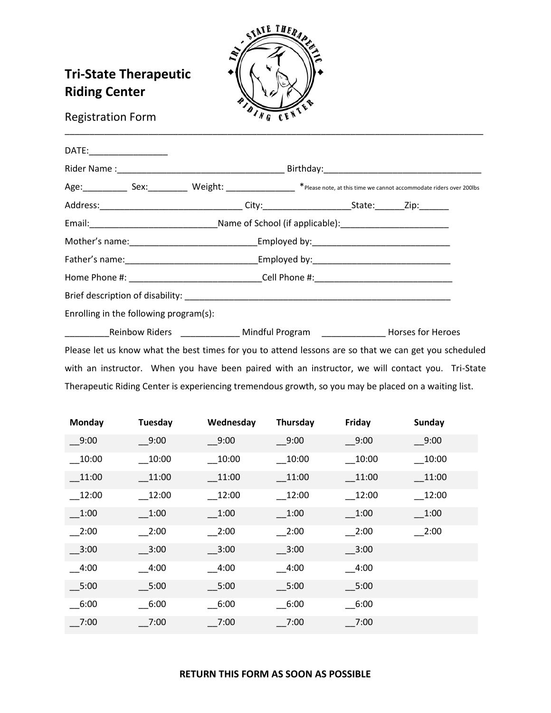

# **Tri-State Therapeutic Riding Center**

# Registration Form

| DATE:__________________                                                                            |                                                                                  |  |
|----------------------------------------------------------------------------------------------------|----------------------------------------------------------------------------------|--|
|                                                                                                    |                                                                                  |  |
| Age: Sex: Sex. Weight: Meloch * Please note, at this time we cannot accommodate riders over 200lbs |                                                                                  |  |
| Address:__________________________________City:_________________________State:________Zip:________ |                                                                                  |  |
|                                                                                                    |                                                                                  |  |
|                                                                                                    |                                                                                  |  |
|                                                                                                    |                                                                                  |  |
| Home Phone #:___________________________________Cell Phone #:____________________                  |                                                                                  |  |
|                                                                                                    |                                                                                  |  |
| Enrolling in the following program(s):                                                             |                                                                                  |  |
|                                                                                                    | Reinbow Riders _______________ Mindful Program _______________ Horses for Heroes |  |

Please let us know what the best times for you to attend lessons are so that we can get you scheduled with an instructor. When you have been paired with an instructor, we will contact you. Tri-State Therapeutic Riding Center is experiencing tremendous growth, so you may be placed on a waiting list.

| Monday   | Tuesday  | Wednesday | Thursday | Friday  | Sunday                        |
|----------|----------|-----------|----------|---------|-------------------------------|
| 9:00     | 9:00     | 9:00      | 9:00     | $-9:00$ | $-9:00$                       |
| 10:00    | 10:00    | 10:00     | 10:00    | 10:00   | 10:00                         |
| 11:00    | 11:00    | 11:00     | 11:00    | 11:00   | 11:00                         |
| $-12:00$ | $-12:00$ | 12:00     | $-12:00$ | 12:00   | 12:00                         |
| 1:00     | 1:00     | 1:00      | 1:00     | 1:00    | 1:00                          |
| 2:00     | 2:00     | 2:00      | 2:00     | $-2:00$ | $\overline{\phantom{0}}$ 2:00 |
| $-3:00$  | $-3:00$  | 3:00      | $-3:00$  | $-3:00$ |                               |
| 4:00     | 4:00     | 4:00      | $-4:00$  | $-4:00$ |                               |
| $\_5:00$ | $-5:00$  | $-5:00$   | 5:00     | 5:00    |                               |
| 6:00     | 6:00     | 6:00      | 6:00     | 6:00    |                               |
| 7:00     | 7:00     | 7:00      | 7:00     | 7:00    |                               |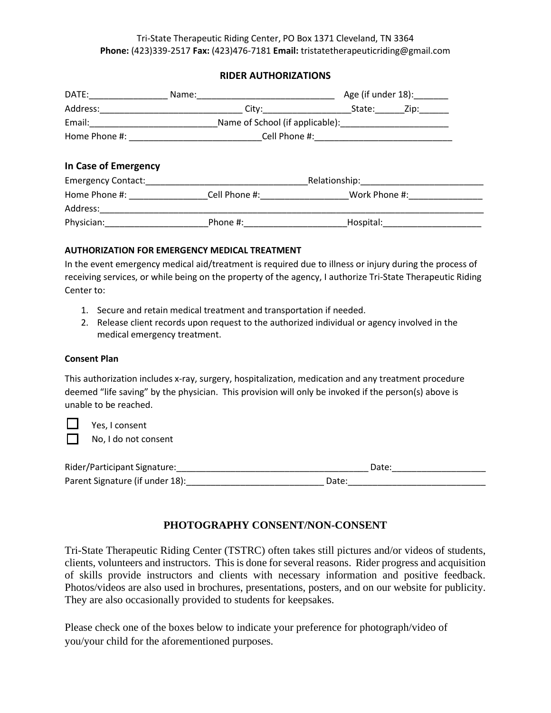## **RIDER AUTHORIZATIONS**

| DATE: ____________                                                                                             | Name:<br><u> 1990 - Johann John Stone, mars et al. (</u> | Age (if under 18): _______        |             |  |
|----------------------------------------------------------------------------------------------------------------|----------------------------------------------------------|-----------------------------------|-------------|--|
|                                                                                                                |                                                          |                                   | State: Zip: |  |
|                                                                                                                |                                                          |                                   |             |  |
|                                                                                                                |                                                          |                                   |             |  |
| In Case of Emergency                                                                                           |                                                          |                                   |             |  |
|                                                                                                                | Emergency Contact: Emergency Contact:                    | Relationship:____________________ |             |  |
|                                                                                                                |                                                          |                                   |             |  |
| Address:_________________                                                                                      |                                                          |                                   |             |  |
| Physician: The Contract of the Contract of the Contract of the Contract of the Contract of the Contract of the | Phone #:                                                 | Hospital:                         |             |  |

## **AUTHORIZATION FOR EMERGENCY MEDICAL TREATMENT**

In the event emergency medical aid/treatment is required due to illness or injury during the process of receiving services, or while being on the property of the agency, I authorize Tri-State Therapeutic Riding Center to:

- 1. Secure and retain medical treatment and transportation if needed.
- 2. Release client records upon request to the authorized individual or agency involved in the medical emergency treatment.

### **Consent Plan**

This authorization includes x-ray, surgery, hospitalization, medication and any treatment procedure deemed "life saving" by the physician. This provision will only be invoked if the person(s) above is unable to be reached.

 Yes, I consent No, I do not consent

| Rider/Participant Signature:    | Date: |
|---------------------------------|-------|
| Parent Signature (if under 18): | Date: |

# **PHOTOGRAPHY CONSENT/NON-CONSENT**

Tri-State Therapeutic Riding Center (TSTRC) often takes still pictures and/or videos of students, clients, volunteers and instructors. This is done for several reasons. Rider progress and acquisition of skills provide instructors and clients with necessary information and positive feedback. Photos/videos are also used in brochures, presentations, posters, and on our website for publicity. They are also occasionally provided to students for keepsakes.

Please check one of the boxes below to indicate your preference for photograph/video of you/your child for the aforementioned purposes.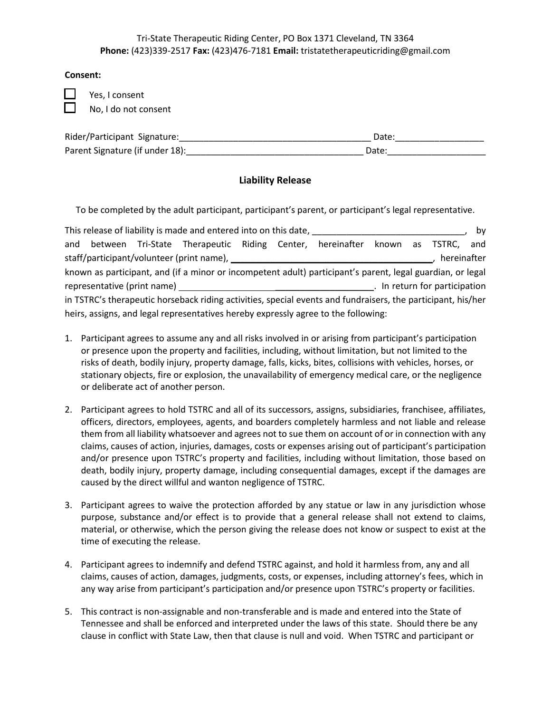#### **Consent:**

Yes, I consent No, I do not consent

| Rider/Participant Signature:    | Date: |
|---------------------------------|-------|
| Parent Signature (if under 18): | Date  |

# **Liability Release**

To be completed by the adult participant, participant's parent, or participant's legal representative.

| This release of liability is made and entered into on this date, ___________________________________<br>by                                                                                                                                                      |  |  |                                                                                  |  |  |  |  |  |  |  |
|-----------------------------------------------------------------------------------------------------------------------------------------------------------------------------------------------------------------------------------------------------------------|--|--|----------------------------------------------------------------------------------|--|--|--|--|--|--|--|
|                                                                                                                                                                                                                                                                 |  |  | and between Tri-State Therapeutic Riding Center, hereinafter known as TSTRC, and |  |  |  |  |  |  |  |
| hereinafter                                                                                                                                                                                                                                                     |  |  |                                                                                  |  |  |  |  |  |  |  |
| known as participant, and (if a minor or incompetent adult) participant's parent, legal guardian, or legal                                                                                                                                                      |  |  |                                                                                  |  |  |  |  |  |  |  |
| representative (print name) and the state of the state of the state of the state of the state of the state of the state of the state of the state of the state of the state of the state of the state of the state of the stat<br>. In return for participation |  |  |                                                                                  |  |  |  |  |  |  |  |
| in TSTRC's therapeutic horseback riding activities, special events and fundraisers, the participant, his/her                                                                                                                                                    |  |  |                                                                                  |  |  |  |  |  |  |  |
| heirs, assigns, and legal representatives hereby expressly agree to the following:                                                                                                                                                                              |  |  |                                                                                  |  |  |  |  |  |  |  |

- 1. Participant agrees to assume any and all risks involved in or arising from participant's participation or presence upon the property and facilities, including, without limitation, but not limited to the risks of death, bodily injury, property damage, falls, kicks, bites, collisions with vehicles, horses, or stationary objects, fire or explosion, the unavailability of emergency medical care, or the negligence or deliberate act of another person.
- 2. Participant agrees to hold TSTRC and all of its successors, assigns, subsidiaries, franchisee, affiliates, officers, directors, employees, agents, and boarders completely harmless and not liable and release them from all liability whatsoever and agrees not to sue them on account of or in connection with any claims, causes of action, injuries, damages, costs or expenses arising out of participant's participation and/or presence upon TSTRC's property and facilities, including without limitation, those based on death, bodily injury, property damage, including consequential damages, except if the damages are caused by the direct willful and wanton negligence of TSTRC.
- 3. Participant agrees to waive the protection afforded by any statue or law in any jurisdiction whose purpose, substance and/or effect is to provide that a general release shall not extend to claims, material, or otherwise, which the person giving the release does not know or suspect to exist at the time of executing the release.
- 4. Participant agrees to indemnify and defend TSTRC against, and hold it harmless from, any and all claims, causes of action, damages, judgments, costs, or expenses, including attorney's fees, which in any way arise from participant's participation and/or presence upon TSTRC's property or facilities.
- 5. This contract is non-assignable and non-transferable and is made and entered into the State of Tennessee and shall be enforced and interpreted under the laws of this state. Should there be any clause in conflict with State Law, then that clause is null and void. When TSTRC and participant or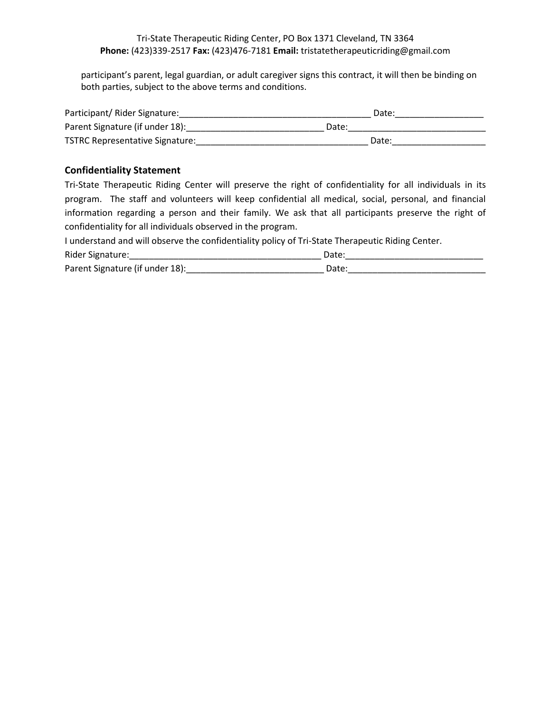participant's parent, legal guardian, or adult caregiver signs this contract, it will then be binding on both parties, subject to the above terms and conditions.

| Participant/ Rider Signature:          | Date: |
|----------------------------------------|-------|
| Parent Signature (if under 18):        | Date: |
| <b>TSTRC Representative Signature:</b> | Date: |

## **Confidentiality Statement**

Tri-State Therapeutic Riding Center will preserve the right of confidentiality for all individuals in its program. The staff and volunteers will keep confidential all medical, social, personal, and financial information regarding a person and their family. We ask that all participants preserve the right of confidentiality for all individuals observed in the program.

I understand and will observe the confidentiality policy of Tri-State Therapeutic Riding Center.

| Rider Signature:                | Date              |
|---------------------------------|-------------------|
| Parent Signature (if under 18): | Jate <sup>.</sup> |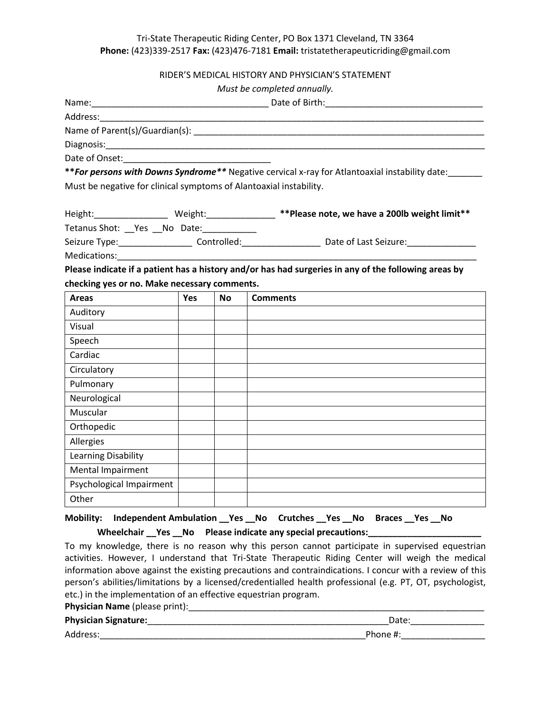#### RIDER'S MEDICAL HISTORY AND PHYSICIAN'S STATEMENT

| Must be completed annually. |
|-----------------------------|
|-----------------------------|

| Address:                                                                                                       |            |           |                                                                                                                |
|----------------------------------------------------------------------------------------------------------------|------------|-----------|----------------------------------------------------------------------------------------------------------------|
|                                                                                                                |            |           |                                                                                                                |
|                                                                                                                |            |           |                                                                                                                |
|                                                                                                                |            |           |                                                                                                                |
|                                                                                                                |            |           | ** For persons with Downs Syndrome** Negative cervical x-ray for Atlantoaxial instability date:                |
| Must be negative for clinical symptoms of Alantoaxial instability.                                             |            |           |                                                                                                                |
|                                                                                                                |            |           | Height:____________________Weight:________________**Please note, we have a 200lb weight limit**                |
| Tetanus Shot: __ Yes __ No Date:                                                                               |            |           |                                                                                                                |
|                                                                                                                |            |           | Seizure Type: _______________________ Controlled:_________________________ Date of Last Seizure:______________ |
| Medications: Medications: Medications: Management of the Management of the Management of the Management of the |            |           |                                                                                                                |
|                                                                                                                |            |           | Please indicate if a patient has a history and/or has had surgeries in any of the following areas by           |
| checking yes or no. Make necessary comments.                                                                   |            |           |                                                                                                                |
| <b>Areas</b>                                                                                                   | <b>Yes</b> | <b>No</b> | <b>Comments</b>                                                                                                |
| Auditory                                                                                                       |            |           |                                                                                                                |
| Visual                                                                                                         |            |           |                                                                                                                |
| Speech                                                                                                         |            |           |                                                                                                                |
| Cardiac                                                                                                        |            |           |                                                                                                                |
| Circulatory                                                                                                    |            |           |                                                                                                                |
| Pulmonary                                                                                                      |            |           |                                                                                                                |
| Neurological                                                                                                   |            |           |                                                                                                                |
| Muscular                                                                                                       |            |           |                                                                                                                |
| Orthopedic                                                                                                     |            |           |                                                                                                                |
| Allergies                                                                                                      |            |           |                                                                                                                |
| Learning Disability                                                                                            |            |           |                                                                                                                |
| Mental Impairment                                                                                              |            |           |                                                                                                                |
| Psychological Impairment                                                                                       |            |           |                                                                                                                |
| Other                                                                                                          |            |           |                                                                                                                |

# **Mobility: Independent Ambulation \_\_Yes \_\_No Crutches \_\_Yes \_\_No Braces \_\_Yes \_\_No**

Wheelchair \_\_Yes \_\_No Please indicate any special precautions: \_\_\_\_\_\_\_\_\_\_\_\_\_\_

To my knowledge, there is no reason why this person cannot participate in supervised equestrian activities. However, I understand that Tri-State Therapeutic Riding Center will weigh the medical information above against the existing precautions and contraindications. I concur with a review of this person's abilities/limitations by a licensed/credentialled health professional (e.g. PT, OT, psychologist, etc.) in the implementation of an effective equestrian program.

# **Physician Name** (please print):\_\_\_\_\_\_\_\_\_\_\_\_\_\_\_\_\_\_\_\_\_\_\_\_\_\_\_\_\_\_\_\_\_\_\_\_\_\_\_\_\_\_\_\_\_\_\_\_\_\_\_\_\_\_\_\_\_\_\_\_

# **Physician Signature:**\_\_\_\_\_\_\_\_\_\_\_\_\_\_\_\_\_\_\_\_\_\_\_\_\_\_\_\_\_\_\_\_\_\_\_\_\_\_\_\_\_\_\_\_\_\_\_\_\_Date:\_\_\_\_\_\_\_\_\_\_\_\_\_\_\_

Address: enterprise that the contract of the contract of the contract of the contract of the contract of the contract of the contract of the contract of the contract of the contract of the contract of the contract of the c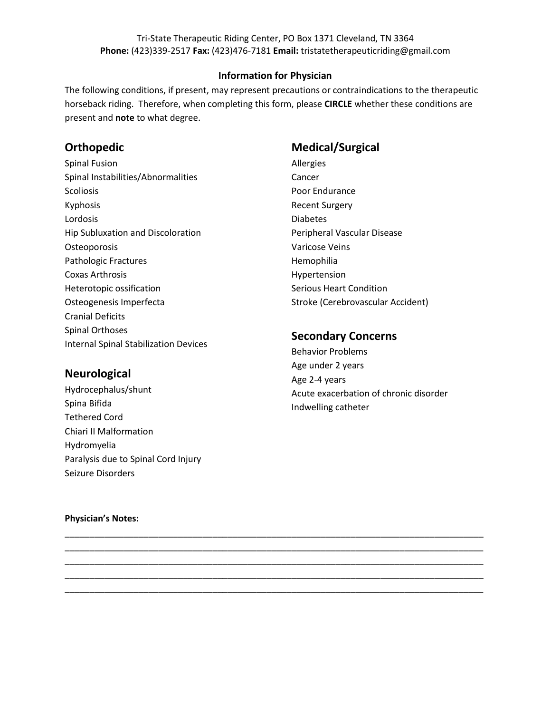### **Information for Physician**

The following conditions, if present, may represent precautions or contraindications to the therapeutic horseback riding. Therefore, when completing this form, please **CIRCLE** whether these conditions are present and **note** to what degree.

\_\_\_\_\_\_\_\_\_\_\_\_\_\_\_\_\_\_\_\_\_\_\_\_\_\_\_\_\_\_\_\_\_\_\_\_\_\_\_\_\_\_\_\_\_\_\_\_\_\_\_\_\_\_\_\_\_\_\_\_\_\_\_\_\_\_\_\_\_\_\_\_\_\_\_\_\_\_\_\_\_\_\_\_\_ \_\_\_\_\_\_\_\_\_\_\_\_\_\_\_\_\_\_\_\_\_\_\_\_\_\_\_\_\_\_\_\_\_\_\_\_\_\_\_\_\_\_\_\_\_\_\_\_\_\_\_\_\_\_\_\_\_\_\_\_\_\_\_\_\_\_\_\_\_\_\_\_\_\_\_\_\_\_\_\_\_\_\_\_\_ \_\_\_\_\_\_\_\_\_\_\_\_\_\_\_\_\_\_\_\_\_\_\_\_\_\_\_\_\_\_\_\_\_\_\_\_\_\_\_\_\_\_\_\_\_\_\_\_\_\_\_\_\_\_\_\_\_\_\_\_\_\_\_\_\_\_\_\_\_\_\_\_\_\_\_\_\_\_\_\_\_\_\_\_\_ \_\_\_\_\_\_\_\_\_\_\_\_\_\_\_\_\_\_\_\_\_\_\_\_\_\_\_\_\_\_\_\_\_\_\_\_\_\_\_\_\_\_\_\_\_\_\_\_\_\_\_\_\_\_\_\_\_\_\_\_\_\_\_\_\_\_\_\_\_\_\_\_\_\_\_\_\_\_\_\_\_\_\_\_\_ \_\_\_\_\_\_\_\_\_\_\_\_\_\_\_\_\_\_\_\_\_\_\_\_\_\_\_\_\_\_\_\_\_\_\_\_\_\_\_\_\_\_\_\_\_\_\_\_\_\_\_\_\_\_\_\_\_\_\_\_\_\_\_\_\_\_\_\_\_\_\_\_\_\_\_\_\_\_\_\_\_\_\_\_\_

# **Orthopedic**

Spinal Fusion Spinal Instabilities/Abnormalities Scoliosis Kyphosis Lordosis Hip Subluxation and Discoloration Osteoporosis Pathologic Fractures Coxas Arthrosis Heterotopic ossification Osteogenesis Imperfecta Cranial Deficits Spinal Orthoses Internal Spinal Stabilization Devices

## **Neurological**

Hydrocephalus/shunt Spina Bifida Tethered Cord Chiari II Malformation Hydromyelia Paralysis due to Spinal Cord Injury Seizure Disorders

# **Medical/Surgical**

Allergies Cancer Poor Endurance Recent Surgery Diabetes Peripheral Vascular Disease Varicose Veins Hemophilia Hypertension Serious Heart Condition Stroke (Cerebrovascular Accident)

## **Secondary Concerns**

Behavior Problems Age under 2 years Age 2-4 years Acute exacerbation of chronic disorder Indwelling catheter

#### **Physician's Notes:**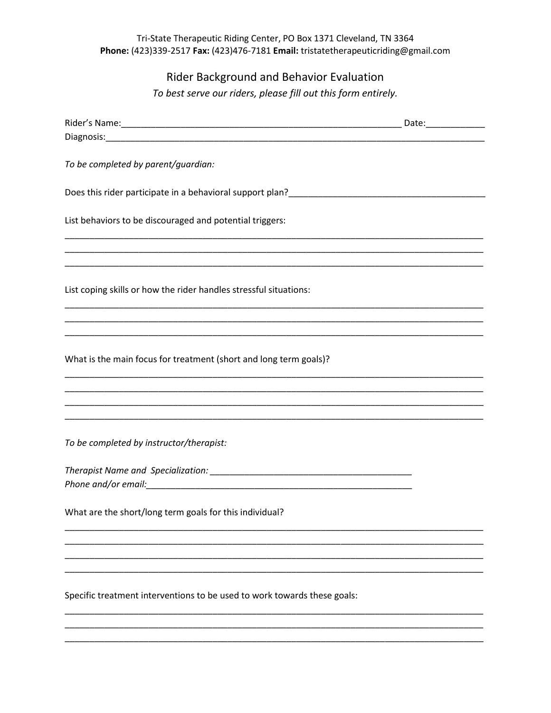# Rider Background and Behavior Evaluation

To best serve our riders, please fill out this form entirely.

| To be completed by parent/guardian:                                      |  |
|--------------------------------------------------------------------------|--|
|                                                                          |  |
| List behaviors to be discouraged and potential triggers:                 |  |
|                                                                          |  |
| List coping skills or how the rider handles stressful situations:        |  |
|                                                                          |  |
| What is the main focus for treatment (short and long term goals)?        |  |
|                                                                          |  |
| To be completed by instructor/therapist:                                 |  |
|                                                                          |  |
| What are the short/long term goals for this individual?                  |  |
|                                                                          |  |
|                                                                          |  |
| Specific treatment interventions to be used to work towards these goals: |  |
|                                                                          |  |